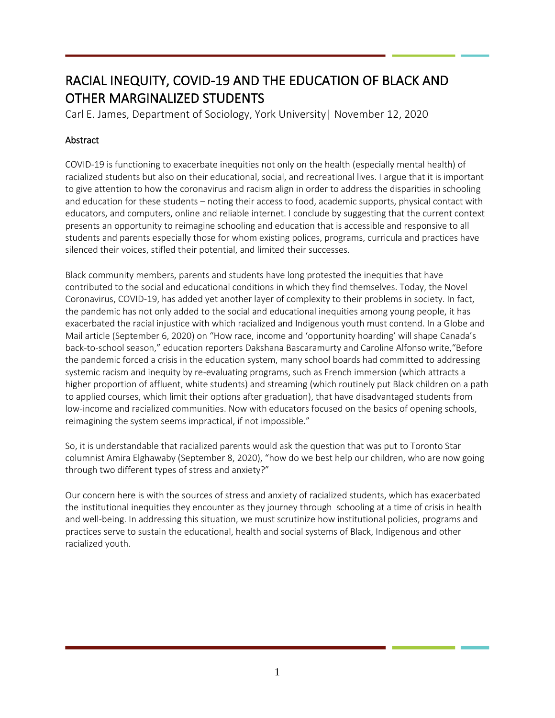# RACIAL INEQUITY, COVID-19 AND THE EDUCATION OF BLACK AND OTHER MARGINALIZED STUDENTS

Carl E. James, Department of Sociology, York University| November 12, 2020

# **Abstract**

COVID-19 is functioning to exacerbate inequities not only on the health (especially mental health) of racialized students but also on their educational, social, and recreational lives. I argue that it is important to give attention to how the coronavirus and racism align in order to address the disparities in schooling and education for these students – noting their access to food, academic supports, physical contact with educators, and computers, online and reliable internet. I conclude by suggesting that the current context presents an opportunity to reimagine schooling and education that is accessible and responsive to all students and parents especially those for whom existing polices, programs, curricula and practices have silenced their voices, stifled their potential, and limited their successes.

Black community members, parents and students have long protested the inequities that have contributed to the social and educational conditions in which they find themselves. Today, the Novel Coronavirus, COVID-19, has added yet another layer of complexity to their problems in society. In fact, the pandemic has not only added to the social and educational inequities among young people, it has exacerbated the racial injustice with which racialized and Indigenous youth must contend. In a Globe and Mail article (September 6, 2020) on "How race, income and 'opportunity hoarding' will shape Canada's back-to-school season," education reporters Dakshana Bascaramurty and Caroline Alfonso write,"Before the pandemic forced a crisis in the education system, many school boards had committed to addressing systemic racism and inequity by re-evaluating programs, such as French immersion (which attracts a higher proportion of affluent, white students) and streaming (which routinely put Black children on a path to applied courses, which limit their options after graduation), that have disadvantaged students from low-income and racialized communities. Now with educators focused on the basics of opening schools, reimagining the system seems impractical, if not impossible."

So, it is understandable that racialized parents would ask the question that was put to Toronto Star columnist Amira Elghawaby (September 8, 2020), "how do we best help our children, who are now going through two different types of stress and anxiety?"

Our concern here is with the sources of stress and anxiety of racialized students, which has exacerbated the institutional inequities they encounter as they journey through schooling at a time of crisis in health and well-being. In addressing this situation, we must scrutinize how institutional policies, programs and practices serve to sustain the educational, health and social systems of Black, Indigenous and other racialized youth.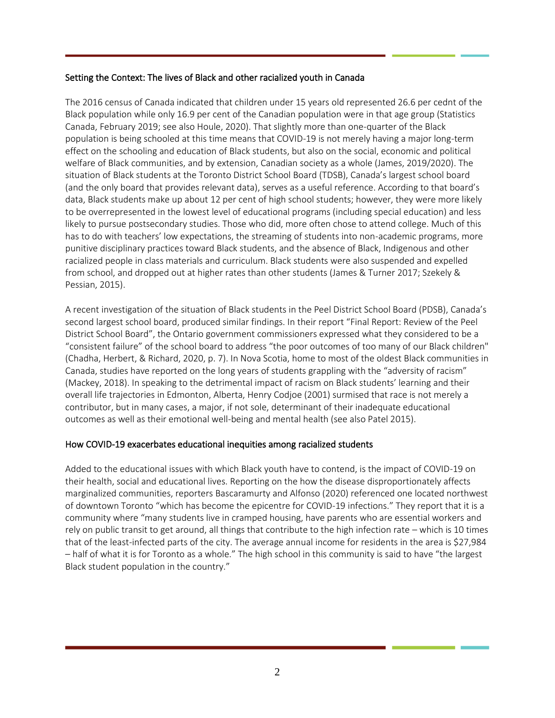#### Setting the Context: The lives of Black and other racialized youth in Canada

The 2016 census of Canada indicated that children under 15 years old represented 26.6 per cednt of the Black population while only 16.9 per cent of the Canadian population were in that age group (Statistics Canada, February 2019; see also Houle, 2020). That slightly more than one-quarter of the Black population is being schooled at this time means that COVID-19 is not merely having a major long-term effect on the schooling and education of Black students, but also on the social, economic and political welfare of Black communities, and by extension, Canadian society as a whole (James, 2019/2020). The situation of Black students at the Toronto District School Board (TDSB), Canada's largest school board (and the only board that provides relevant data), serves as a useful reference. According to that board's data, Black students make up about 12 per cent of high school students; however, they were more likely to be overrepresented in the lowest level of educational programs (including special education) and less likely to pursue postsecondary studies. Those who did, more often chose to attend college. Much of this has to do with teachers' low expectations, the streaming of students into non-academic programs, more punitive disciplinary practices toward Black students, and the absence of Black, Indigenous and other racialized people in class materials and curriculum. Black students were also suspended and expelled from school, and dropped out at higher rates than other students (James & Turner 2017; Szekely & Pessian, 2015).

A recent investigation of the situation of Black students in the Peel District School Board (PDSB), Canada's second largest school board, produced similar findings. In their report "Final Report: Review of the Peel District School Board", the Ontario government commissioners expressed what they considered to be a "consistent failure" of the school board to address "the poor outcomes of too many of our Black children" (Chadha, Herbert, & Richard, 2020, p. 7). In Nova Scotia, home to most of the oldest Black communities in Canada, studies have reported on the long years of students grappling with the "adversity of racism" (Mackey, 2018). In speaking to the detrimental impact of racism on Black students' learning and their overall life trajectories in Edmonton, Alberta, Henry Codjoe (2001) surmised that race is not merely a contributor, but in many cases, a major, if not sole, determinant of their inadequate educational outcomes as well as their emotional well-being and mental health (see also Patel 2015).

# How COVID-19 exacerbates educational inequities among racialized students

Added to the educational issues with which Black youth have to contend, is the impact of COVID-19 on their health, social and educational lives. Reporting on the how the disease disproportionately affects marginalized communities, reporters Bascaramurty and Alfonso (2020) referenced one located northwest of downtown Toronto "which has become the epicentre for COVID-19 infections." They report that it is a community where "many students live in cramped housing, have parents who are essential workers and rely on public transit to get around, all things that contribute to the high infection rate – which is 10 times that of the least-infected parts of the city. The average annual income for residents in the area is \$27,984 – half of what it is for Toronto as a whole." The high school in this community is said to have "the largest Black student population in the country."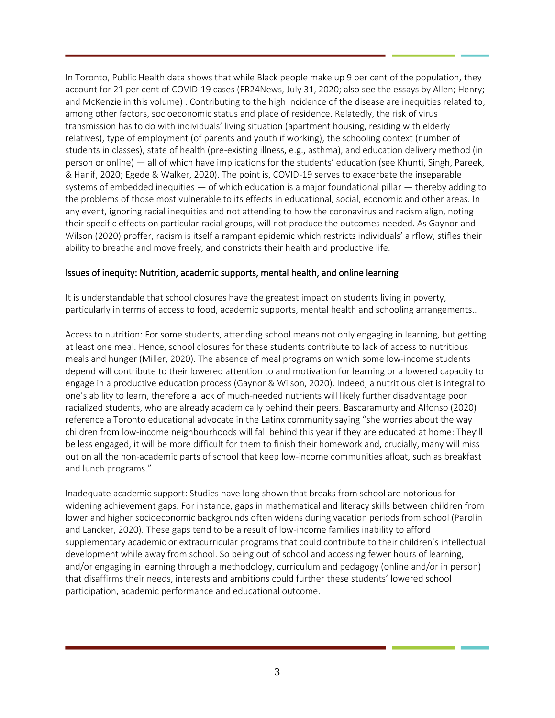In Toronto, Public Health data shows that while Black people make up 9 per cent of the population, they account for 21 per cent of COVID-19 cases (FR24News, July 31, 2020; also see the essays by Allen; Henry; and McKenzie in this volume) . Contributing to the high incidence of the disease are inequities related to, among other factors, socioeconomic status and place of residence. Relatedly, the risk of virus transmission has to do with individuals' living situation (apartment housing, residing with elderly relatives), type of employment (of parents and youth if working), the schooling context (number of students in classes), state of health (pre-existing illness, e.g., asthma), and education delivery method (in person or online) — all of which have implications for the students' education (see Khunti, Singh, Pareek, & Hanif, 2020; Egede & Walker, 2020). The point is, COVID-19 serves to exacerbate the inseparable systems of embedded inequities — of which education is a major foundational pillar — thereby adding to the problems of those most vulnerable to its effects in educational, social, economic and other areas. In any event, ignoring racial inequities and not attending to how the coronavirus and racism align, noting their specific effects on particular racial groups, will not produce the outcomes needed. As Gaynor and Wilson (2020) proffer, racism is itself a rampant epidemic which restricts individuals' airflow, stifles their ability to breathe and move freely, and constricts their health and productive life.

#### Issues of inequity: Nutrition, academic supports, mental health, and online learning

It is understandable that school closures have the greatest impact on students living in poverty, particularly in terms of access to food, academic supports, mental health and schooling arrangements..

Access to nutrition: For some students, attending school means not only engaging in learning, but getting at least one meal. Hence, school closures for these students contribute to lack of access to nutritious meals and hunger (Miller, 2020). The absence of meal programs on which some low-income students depend will contribute to their lowered attention to and motivation for learning or a lowered capacity to engage in a productive education process (Gaynor & Wilson, 2020). Indeed, a nutritious diet is integral to one's ability to learn, therefore a lack of much-needed nutrients will likely further disadvantage poor racialized students, who are already academically behind their peers. Bascaramurty and Alfonso (2020) reference a Toronto educational advocate in the Latinx community saying "she worries about the way children from low-income neighbourhoods will fall behind this year if they are educated at home: They'll be less engaged, it will be more difficult for them to finish their homework and, crucially, many will miss out on all the non-academic parts of school that keep low-income communities afloat, such as breakfast and lunch programs."

Inadequate academic support: Studies have long shown that breaks from school are notorious for widening achievement gaps. For instance, gaps in mathematical and literacy skills between children from lower and higher socioeconomic backgrounds often widens during vacation periods from school (Parolin and Lancker, 2020). These gaps tend to be a result of low-income families inability to afford supplementary academic or extracurricular programs that could contribute to their children's intellectual development while away from school. So being out of school and accessing fewer hours of learning, and/or engaging in learning through a methodology, curriculum and pedagogy (online and/or in person) that disaffirms their needs, interests and ambitions could further these students' lowered school participation, academic performance and educational outcome.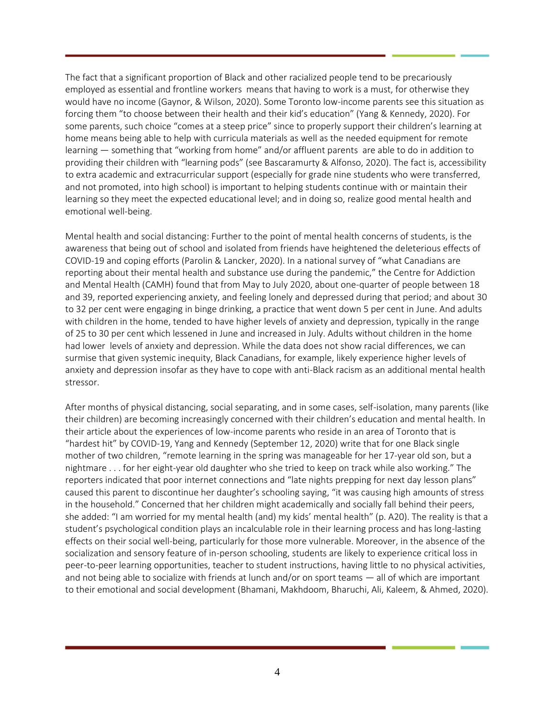The fact that a significant proportion of Black and other racialized people tend to be precariously employed as essential and frontline workers means that having to work is a must, for otherwise they would have no income (Gaynor, & Wilson, 2020). Some Toronto low-income parents see this situation as forcing them "to choose between their health and their kid's education" (Yang & Kennedy, 2020). For some parents, such choice "comes at a steep price" since to properly support their children's learning at home means being able to help with curricula materials as well as the needed equipment for remote learning — something that "working from home" and/or affluent parents are able to do in addition to providing their children with "learning pods" (see Bascaramurty & Alfonso, 2020). The fact is, accessibility to extra academic and extracurricular support (especially for grade nine students who were transferred, and not promoted, into high school) is important to helping students continue with or maintain their learning so they meet the expected educational level; and in doing so, realize good mental health and emotional well-being.

Mental health and social distancing: Further to the point of mental health concerns of students, is the awareness that being out of school and isolated from friends have heightened the deleterious effects of COVID-19 and coping efforts (Parolin & Lancker, 2020). In a national survey of "what Canadians are reporting about their mental health and substance use during the pandemic," the Centre for Addiction and Mental Health (CAMH) found that from May to July 2020, about one-quarter of people between 18 and 39, reported experiencing anxiety, and feeling lonely and depressed during that period; and about 30 to 32 per cent were engaging in binge drinking, a practice that went down 5 per cent in June. And adults with children in the home, tended to have higher levels of anxiety and depression, typically in the range of 25 to 30 per cent which lessened in June and increased in July. Adults without children in the home had lower levels of anxiety and depression. While the data does not show racial differences, we can surmise that given systemic inequity, Black Canadians, for example, likely experience higher levels of anxiety and depression insofar as they have to cope with anti-Black racism as an additional mental health stressor.

After months of physical distancing, social separating, and in some cases, self-isolation, many parents (like their children) are becoming increasingly concerned with their children's education and mental health. In their article about the experiences of low-income parents who reside in an area of Toronto that is "hardest hit" by COVID-19, Yang and Kennedy (September 12, 2020) write that for one Black single mother of two children, "remote learning in the spring was manageable for her 17-year old son, but a nightmare . . . for her eight-year old daughter who she tried to keep on track while also working." The reporters indicated that poor internet connections and "late nights prepping for next day lesson plans" caused this parent to discontinue her daughter's schooling saying, "it was causing high amounts of stress in the household." Concerned that her children might academically and socially fall behind their peers, she added: "I am worried for my mental health (and) my kids' mental health" (p. A20). The reality is that a student's psychological condition plays an incalculable role in their learning process and has long-lasting effects on their social well-being, particularly for those more vulnerable. Moreover, in the absence of the socialization and sensory feature of in-person schooling, students are likely to experience critical loss in peer-to-peer learning opportunities, teacher to student instructions, having little to no physical activities, and not being able to socialize with friends at lunch and/or on sport teams — all of which are important to their emotional and social development (Bhamani, Makhdoom, Bharuchi, Ali, Kaleem, & Ahmed, 2020).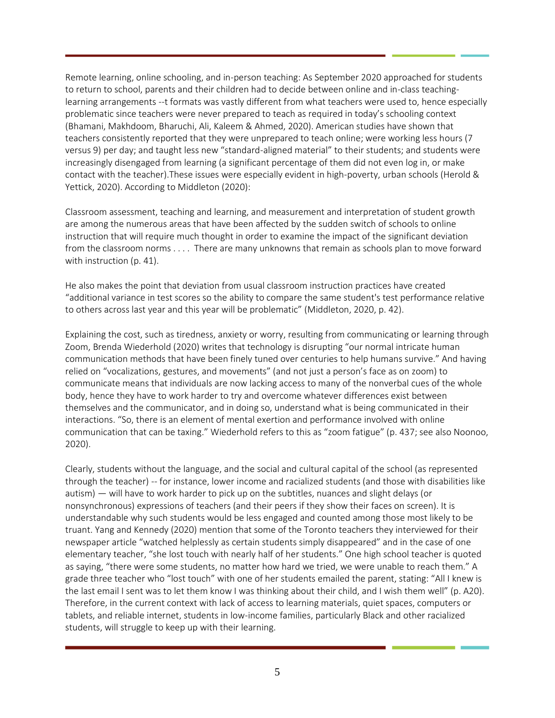Remote learning, online schooling, and in-person teaching: As September 2020 approached for students to return to school, parents and their children had to decide between online and in-class teachinglearning arrangements --t formats was vastly different from what teachers were used to, hence especially problematic since teachers were never prepared to teach as required in today's schooling context (Bhamani, Makhdoom, Bharuchi, Ali, Kaleem & Ahmed, 2020). American studies have shown that teachers consistently reported that they were unprepared to teach online; were working less hours (7 versus 9) per day; and taught less new "standard-aligned material" to their students; and students were increasingly disengaged from learning (a significant percentage of them did not even log in, or make contact with the teacher).These issues were especially evident in high-poverty, urban schools (Herold & Yettick, 2020). According to Middleton (2020):

Classroom assessment, teaching and learning, and measurement and interpretation of student growth are among the numerous areas that have been affected by the sudden switch of schools to online instruction that will require much thought in order to examine the impact of the significant deviation from the classroom norms . . . . There are many unknowns that remain as schools plan to move forward with instruction (p. 41).

He also makes the point that deviation from usual classroom instruction practices have created "additional variance in test scores so the ability to compare the same student's test performance relative to others across last year and this year will be problematic" (Middleton, 2020, p. 42).

Explaining the cost, such as tiredness, anxiety or worry, resulting from communicating or learning through Zoom, Brenda Wiederhold (2020) writes that technology is disrupting "our normal intricate human communication methods that have been finely tuned over centuries to help humans survive." And having relied on "vocalizations, gestures, and movements" (and not just a person's face as on zoom) to communicate means that individuals are now lacking access to many of the nonverbal cues of the whole body, hence they have to work harder to try and overcome whatever differences exist between themselves and the communicator, and in doing so, understand what is being communicated in their interactions. "So, there is an element of mental exertion and performance involved with online communication that can be taxing." Wiederhold refers to this as "zoom fatigue" (p. 437; see also Noonoo, 2020).

Clearly, students without the language, and the social and cultural capital of the school (as represented through the teacher) -- for instance, lower income and racialized students (and those with disabilities like autism) — will have to work harder to pick up on the subtitles, nuances and slight delays (or nonsynchronous) expressions of teachers (and their peers if they show their faces on screen). It is understandable why such students would be less engaged and counted among those most likely to be truant. Yang and Kennedy (2020) mention that some of the Toronto teachers they interviewed for their newspaper article "watched helplessly as certain students simply disappeared" and in the case of one elementary teacher, "she lost touch with nearly half of her students." One high school teacher is quoted as saying, "there were some students, no matter how hard we tried, we were unable to reach them." A grade three teacher who "lost touch" with one of her students emailed the parent, stating: "All I knew is the last email I sent was to let them know I was thinking about their child, and I wish them well" (p. A20). Therefore, in the current context with lack of access to learning materials, quiet spaces, computers or tablets, and reliable internet, students in low-income families, particularly Black and other racialized students, will struggle to keep up with their learning.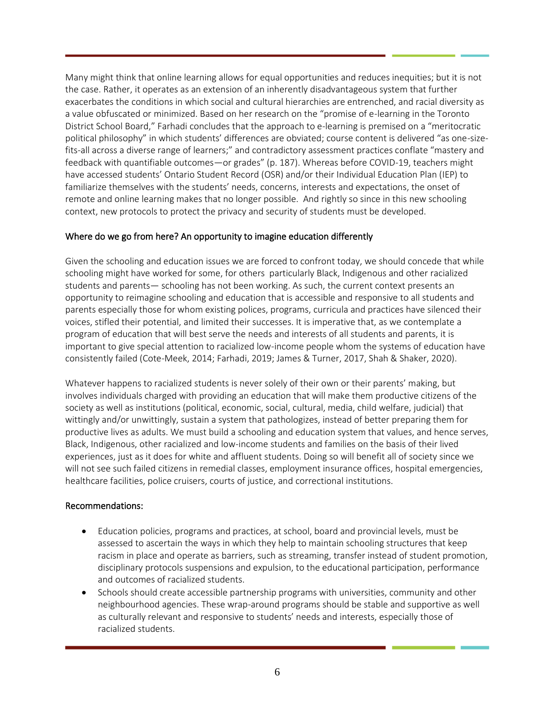Many might think that online learning allows for equal opportunities and reduces inequities; but it is not the case. Rather, it operates as an extension of an inherently disadvantageous system that further exacerbates the conditions in which social and cultural hierarchies are entrenched, and racial diversity as a value obfuscated or minimized. Based on her research on the "promise of e-learning in the Toronto District School Board," Farhadi concludes that the approach to e-learning is premised on a "meritocratic political philosophy" in which students' differences are obviated; course content is delivered "as one-sizefits-all across a diverse range of learners;" and contradictory assessment practices conflate "mastery and feedback with quantifiable outcomes—or grades" (p. 187). Whereas before COVID-19, teachers might have accessed students' Ontario Student Record (OSR) and/or their Individual Education Plan (IEP) to familiarize themselves with the students' needs, concerns, interests and expectations, the onset of remote and online learning makes that no longer possible. And rightly so since in this new schooling context, new protocols to protect the privacy and security of students must be developed.

# Where do we go from here? An opportunity to imagine education differently

Given the schooling and education issues we are forced to confront today, we should concede that while schooling might have worked for some, for others particularly Black, Indigenous and other racialized students and parents— schooling has not been working. As such, the current context presents an opportunity to reimagine schooling and education that is accessible and responsive to all students and parents especially those for whom existing polices, programs, curricula and practices have silenced their voices, stifled their potential, and limited their successes. It is imperative that, as we contemplate a program of education that will best serve the needs and interests of all students and parents, it is important to give special attention to racialized low-income people whom the systems of education have consistently failed (Cote-Meek, 2014; Farhadi, 2019; James & Turner, 2017, Shah & Shaker, 2020).

Whatever happens to racialized students is never solely of their own or their parents' making, but involves individuals charged with providing an education that will make them productive citizens of the society as well as institutions (political, economic, social, cultural, media, child welfare, judicial) that wittingly and/or unwittingly, sustain a system that pathologizes, instead of better preparing them for productive lives as adults. We must build a schooling and education system that values, and hence serves, Black, Indigenous, other racialized and low-income students and families on the basis of their lived experiences, just as it does for white and affluent students. Doing so will benefit all of society since we will not see such failed citizens in remedial classes, employment insurance offices, hospital emergencies, healthcare facilities, police cruisers, courts of justice, and correctional institutions.

# Recommendations:

- Education policies, programs and practices, at school, board and provincial levels, must be assessed to ascertain the ways in which they help to maintain schooling structures that keep racism in place and operate as barriers, such as streaming, transfer instead of student promotion, disciplinary protocols suspensions and expulsion, to the educational participation, performance and outcomes of racialized students.
- Schools should create accessible partnership programs with universities, community and other neighbourhood agencies. These wrap-around programs should be stable and supportive as well as culturally relevant and responsive to students' needs and interests, especially those of racialized students.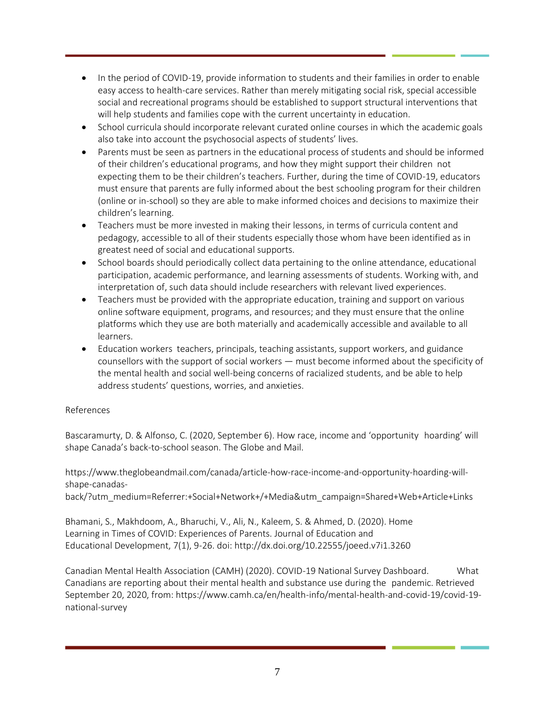- In the period of COVID-19, provide information to students and their families in order to enable easy access to health-care services. Rather than merely mitigating social risk, special accessible social and recreational programs should be established to support structural interventions that will help students and families cope with the current uncertainty in education.
- School curricula should incorporate relevant curated online courses in which the academic goals also take into account the psychosocial aspects of students' lives.
- Parents must be seen as partners in the educational process of students and should be informed of their children's educational programs, and how they might support their children not expecting them to be their children's teachers. Further, during the time of COVID-19, educators must ensure that parents are fully informed about the best schooling program for their children (online or in-school) so they are able to make informed choices and decisions to maximize their children's learning.
- Teachers must be more invested in making their lessons, in terms of curricula content and pedagogy, accessible to all of their students especially those whom have been identified as in greatest need of social and educational supports.
- School boards should periodically collect data pertaining to the online attendance, educational participation, academic performance, and learning assessments of students. Working with, and interpretation of, such data should include researchers with relevant lived experiences.
- Teachers must be provided with the appropriate education, training and support on various online software equipment, programs, and resources; and they must ensure that the online platforms which they use are both materially and academically accessible and available to all learners.
- Education workers teachers, principals, teaching assistants, support workers, and guidance counsellors with the support of social workers — must become informed about the specificity of the mental health and social well-being concerns of racialized students, and be able to help address students' questions, worries, and anxieties.

# References

Bascaramurty, D. & Alfonso, C. (2020, September 6). How race, income and 'opportunity hoarding' will shape Canada's back-to-school season. The Globe and Mail.

https://www.theglobeandmail.com/canada/article-how-race-income-and-opportunity-hoarding-willshape-canadas-

back/?utm\_medium=Referrer:+Social+Network+/+Media&utm\_campaign=Shared+Web+Article+Links

Bhamani, S., Makhdoom, A., Bharuchi, V., Ali, N., Kaleem, S. & Ahmed, D. (2020). Home Learning in Times of COVID: Experiences of Parents. Journal of Education and Educational Development, 7(1), 9-26. doi: http://dx.doi.org/10.22555/joeed.v7i1.3260

Canadian Mental Health Association (CAMH) (2020). COVID-19 National Survey Dashboard. What Canadians are reporting about their mental health and substance use during the pandemic. Retrieved September 20, 2020, from: https://www.camh.ca/en/health-info/mental-health-and-covid-19/covid-19 national-survey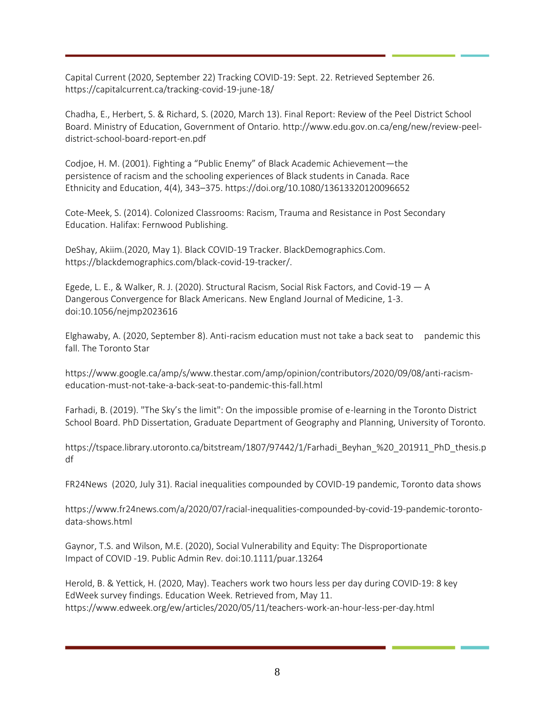Capital Current (2020, September 22) Tracking COVID-19: Sept. 22. Retrieved September 26. https://capitalcurrent.ca/tracking-covid-19-june-18/

Chadha, E., Herbert, S. & Richard, S. (2020, March 13). Final Report: Review of the Peel District School Board. Ministry of Education, Government of Ontario. http://www.edu.gov.on.ca/eng/new/review-peeldistrict-school-board-report-en.pdf

Codjoe, H. M. (2001). Fighting a "Public Enemy" of Black Academic Achievement—the persistence of racism and the schooling experiences of Black students in Canada. Race Ethnicity and Education, 4(4), 343–375. https://doi.org/10.1080/13613320120096652

Cote-Meek, S. (2014). Colonized Classrooms: Racism, Trauma and Resistance in Post Secondary Education. Halifax: Fernwood Publishing.

DeShay, Akiim.(2020, May 1). Black COVID-19 Tracker. BlackDemographics.Com. https://blackdemographics.com/black-covid-19-tracker/.

Egede, L. E., & Walker, R. J. (2020). Structural Racism, Social Risk Factors, and Covid-19 — A Dangerous Convergence for Black Americans. New England Journal of Medicine, 1-3. doi:10.1056/nejmp2023616

Elghawaby, A. (2020, September 8). Anti-racism education must not take a back seat to pandemic this fall. The Toronto Star

https://www.google.ca/amp/s/www.thestar.com/amp/opinion/contributors/2020/09/08/anti-racismeducation-must-not-take-a-back-seat-to-pandemic-this-fall.html

Farhadi, B. (2019). "The Sky's the limit": On the impossible promise of e-learning in the Toronto District School Board. PhD Dissertation, Graduate Department of Geography and Planning, University of Toronto.

https://tspace.library.utoronto.ca/bitstream/1807/97442/1/Farhadi\_Beyhan\_%20\_201911\_PhD\_thesis.p df

FR24News (2020, July 31). Racial inequalities compounded by COVID-19 pandemic, Toronto data shows

https://www.fr24news.com/a/2020/07/racial-inequalities-compounded-by-covid-19-pandemic-torontodata-shows.html

Gaynor, T.S. and Wilson, M.E. (2020), Social Vulnerability and Equity: The Disproportionate Impact of COVID ‐19. Public Admin Rev. doi:10.1111/puar.13264

Herold, B. & Yettick, H. (2020, May). Teachers work two hours less per day during COVID‐19: 8 key EdWeek survey findings. Education Week. Retrieved from, May 11. https://www.edweek.org/ew/articles/2020/05/11/teachers-work-an-hour-less-per-day.html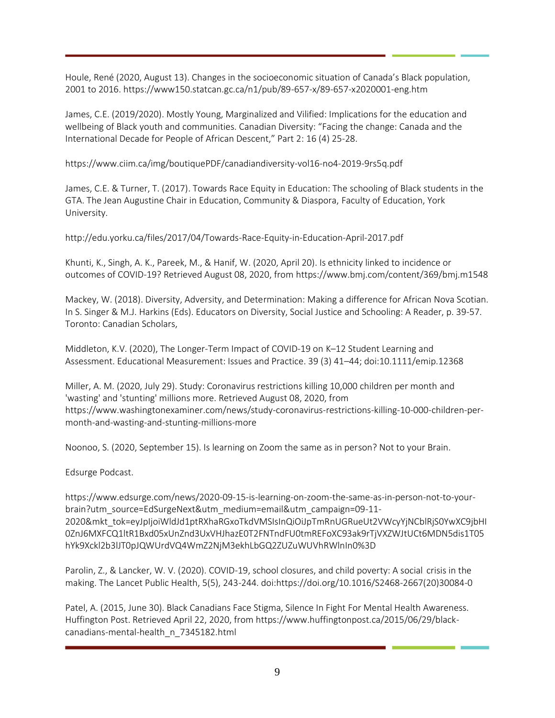Houle, René (2020, August 13). Changes in the socioeconomic situation of Canada's Black population, 2001 to 2016. https://www150.statcan.gc.ca/n1/pub/89-657-x/89-657-x2020001-eng.htm

James, C.E. (2019/2020). Mostly Young, Marginalized and Vilified: Implications for the education and wellbeing of Black youth and communities. Canadian Diversity: "Facing the change: Canada and the International Decade for People of African Descent," Part 2: 16 (4) 25-28.

https://www.ciim.ca/img/boutiquePDF/canadiandiversity-vol16-no4-2019-9rs5q.pdf

James, C.E. & Turner, T. (2017). Towards Race Equity in Education: The schooling of Black students in the GTA. The Jean Augustine Chair in Education, Community & Diaspora, Faculty of Education, York University.

http://edu.yorku.ca/files/2017/04/Towards-Race-Equity-in-Education-April-2017.pdf

Khunti, K., Singh, A. K., Pareek, M., & Hanif, W. (2020, April 20). Is ethnicity linked to incidence or outcomes of COVID-19? Retrieved August 08, 2020, from https://www.bmj.com/content/369/bmj.m1548

Mackey, W. (2018). Diversity, Adversity, and Determination: Making a difference for African Nova Scotian. In S. Singer & M.J. Harkins (Eds). Educators on Diversity, Social Justice and Schooling: A Reader, p. 39-57. Toronto: Canadian Scholars,

Middleton, K.V. (2020), The Longer‐Term Impact of COVID‐19 on K–12 Student Learning and Assessment. Educational Measurement: Issues and Practice. 39 (3) 41–44; doi:10.1111/emip.12368

Miller, A. M. (2020, July 29). Study: Coronavirus restrictions killing 10,000 children per month and 'wasting' and 'stunting' millions more. Retrieved August 08, 2020, from https://www.washingtonexaminer.com/news/study-coronavirus-restrictions-killing-10-000-children-permonth-and-wasting-and-stunting-millions-more

Noonoo, S. (2020, September 15). Is learning on Zoom the same as in person? Not to your Brain.

Edsurge Podcast.

https://www.edsurge.com/news/2020-09-15-is-learning-on-zoom-the-same-as-in-person-not-to-yourbrain?utm\_source=EdSurgeNext&utm\_medium=email&utm\_campaign=09-11- 2020&mkt\_tok=eyJpIjoiWldJd1ptRXhaRGxoTkdVMSIsInQiOiJpTmRnUGRueUt2VWcyYjNCblRjS0YwXC9jbHI 0ZnJ6MXFCQ1ltR1Bxd05xUnZnd3UxVHJhazE0T2FNTndFU0tmREFoXC93ak9rTjVXZWJtUCt6MDN5dis1T05 hYk9Xckl2b3lJT0pJQWUrdVQ4WmZ2NjM3ekhLbGQ2ZUZuWUVhRWlnIn0%3D

Parolin, Z., & Lancker, W. V. (2020). COVID-19, school closures, and child poverty: A social crisis in the making. The Lancet Public Health, 5(5), 243-244. doi:https://doi.org/10.1016/S2468-2667(20)30084-0

Patel, A. (2015, June 30). Black Canadians Face Stigma, Silence In Fight For Mental Health Awareness. Huffington Post. Retrieved April 22, 2020, from https://www.huffingtonpost.ca/2015/06/29/blackcanadians-mental-health\_n\_7345182.html